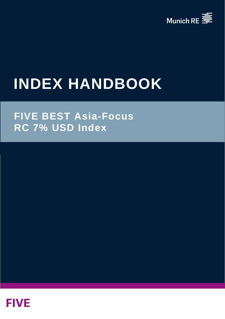

# **INDEX HANDBOOK**

# **FIVE BEST Asia-Focus RC 7% USD Index**

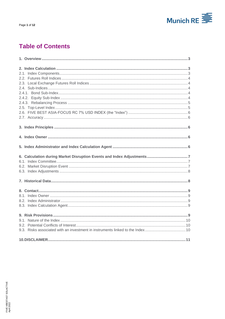

# **Table of Contents**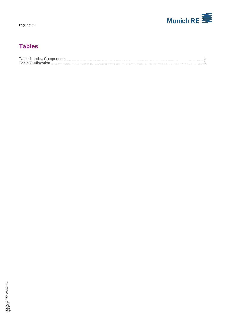

# **Tables**

| Table $1:$ Index $\sqrt{ }$ |  |
|-----------------------------|--|
| Table 2.<br>АШ              |  |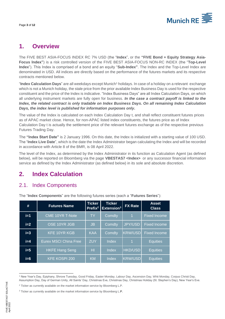

# <span id="page-3-0"></span>**1. Overview**

The FIVE BEST ASIA-FOCUS INDEX RC 7% USD (the "**Index**", or the **"FIVE Bond + Equity Strategy Asia-Focus Index"**) is a risk controlled version of the FIVE BEST ASIA-FOCUS NON-RC INDEX (the "**Top-Level Index**"). This Index is comprised of a bond and an equity "**Sub-Index"**. The Index and the Top-Level Index are denominated in USD. All indices are directly based on the performance of the futures markets and its respective contracts mentioned below.

"**Index Calculation Days**" are all weekdays except Munich<sup>1</sup> holidays. In case of a holiday on a relevant exchange which is not a Munich holiday, the stale price from the prior available Index Business Day is used for the respective constituent and the price of the Index is indicative. "Index Business Days" are all Index Calculation Days, on which all underlying instrument markets are fully open for business. *In the case a contract payoff is linked to the Index, the related contract is only tradable on Index Business Days. On all remaining Index Calculation Days, the index level is published for information purposes only***.**

The value of the Index is calculated on each Index Calculation Day t, and shall reflect constituent futures prices as of APAC market close. Hence, for non-APAC listed index constituents, the futures price as of Index Calculation Day t is actually the settlement price of the relevant futures exchange as of the respective previous Futures Trading Day.

The **"Index Start Date"** is 2 January 1996. On this date, the Index is initialized with a starting value of 100 USD. The "**Index Live Date**", which is the date the Index Administrator began calculating the Index and will be recorded in accordance with Article 8 of the BMR, is 08 April 2022.

The level of the Index, as determined by the Index Administrator in its function as Calculation Agent (as defined below), will be reported on Bloomberg via the page **VBESTAS7 <Index>** or any successor financial information service as defined by the Index Administrator (as defined below) in its sole and absolute discretion.

# <span id="page-3-1"></span>**2. Index Calculation**

## <span id="page-3-2"></span>2.1. Index Components

| #     | <b>Futures Name</b>          | <b>Ticker</b><br>Prefix <sup>2</sup> | <b>Ticker</b><br>$\overline{\mathsf{Extension}}^3$ | <b>FX Rate</b>       | <b>Asset</b><br><b>Class</b> |  |
|-------|------------------------------|--------------------------------------|----------------------------------------------------|----------------------|------------------------------|--|
| $i=1$ | CME 10YR T-Note              | <b>TY</b>                            | Comdty                                             | $\overline{1}$       | <b>Fixed Income</b>          |  |
| $i=2$ | OSE 10YR JGB                 | <b>JB</b>                            | Comdty                                             | <b>JPY/USD</b>       | <b>Fixed Income</b>          |  |
| $i=3$ | <b>KFE 10YR KGB</b>          | <b>KAA</b>                           | Comdty                                             | <b>KRW/USD</b>       | <b>Fixed Income</b>          |  |
| $i=4$ | <b>Eurex MSCI China Free</b> | <b>ZUY</b>                           | <b>Index</b>                                       | $\blacktriangleleft$ | <b>Equities</b>              |  |
| $i=5$ | <b>HKFE Hang Seng</b>        | HI                                   | Index                                              | <b>HKD/USD</b>       | <b>Equities</b>              |  |
| $i=6$ | <b>KFE KOSPI 200</b>         | <b>KM</b>                            | Index                                              | <b>KRW/USD</b>       | Equities                     |  |

The "**Index Components**" are the following futures series (each a "**Futures Series**"):

<sup>1</sup> New Year's Day, Epiphany, Shrove Tuesday, Good Friday, Easter Monday, Labour Day, Ascension Day, Whit Monday, Corpus Christi Day, Assumption Day, Day of German Unity, All Saints' Day, Christmas Eve, Christmas Day, Christmas Holiday (St. Stephen's Day), New Year's Eve.

<sup>&</sup>lt;sup>2</sup> Ticker as currently available on the market information service by Bloomberg L.P.

<sup>&</sup>lt;sup>3</sup> Ticker as currently available on the market information service by Bloomberg L.P.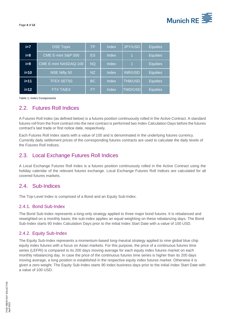

| $i=7$  | <b>OSE Topix</b>      | <b>TP</b> | Index | JPY/USD              | <b>Equities</b> |  |
|--------|-----------------------|-----------|-------|----------------------|-----------------|--|
| $i=8$  | CME E-mini S&P 500    | <b>ES</b> | Index | $\blacktriangleleft$ | <b>Equities</b> |  |
| $i=9$  | CME E-mini NASDAQ-100 | <b>NQ</b> | Index | $\mathbf 1$          | <b>Equities</b> |  |
| $i=10$ | NSE Nifty 50          | <b>NZ</b> | Index | <b>INR/USD</b>       | <b>Equities</b> |  |
| $i=11$ | <b>TFEX SET50</b>     | BC        | Index | <b>THB/USD</b>       | <b>Equities</b> |  |
| $i=12$ | <b>FTX TAIEX</b>      | FТ        | Index | <b>TWD/USD</b>       | <b>Equities</b> |  |

<span id="page-4-5"></span><span id="page-4-0"></span>**Table 1: Index Components**

#### 2.2. Futures Roll Indices

A Futures Roll Index (as defined below) is a futures position continuously rolled in the Active Contract. A standard futures roll from the front contract into the next contract is performed two Index Calculation Days before the futures contract's last trade or first notice date, respectively.

Each Futures Roll Index starts with a value of 100 and is denominated in the underlying futures currency. Currently daily settlement prices of the corresponding futures contracts are used to calculate the daily levels of the Futures Roll Indices.

#### <span id="page-4-1"></span>2.3. Local Exchange Futures Roll Indices

A Local Exchange Futures Roll Index is a futures position continuously rolled in the Active Contract using the holiday calendar of the relevant futures exchange. Local Exchange Futures Roll Indices are calculated for all covered futures markets.

#### <span id="page-4-2"></span>2.4. Sub-Indices

<span id="page-4-3"></span>The Top-Level Index is comprised of a Bond and an Equity Sub-Index.

#### 2.4.1. Bond Sub-Index

The Bond Sub-Index represents a long-only strategy applied to three major bond futures. It is rebalanced and reweighted on a monthly basis; the sub-index applies an equal weighting on these rebalancing days. The Bond Sub-Index starts 90 Index Calculation Days prior to the initial Index Start Date with a value of 100 USD.

#### <span id="page-4-4"></span>2.4.2. Equity Sub-Index

The Equity Sub-Index represents a momentum-based long-/neutral strategy applied to nine global blue chip equity index futures with a focus on Asian markets. For this purpose, the price of a continuous futures time series (LEFRI) is compared to its 200 days moving average for each equity index futures market on each monthly rebalancing day. In case the price of the continuous futures time series is higher than its 200 days moving average, a long position is established in the respective equity index futures market. Otherwise it is given a zero weight. The Equity Sub-Index starts 90 index business days prior to the initial Index Start Date with a value of 100 USD.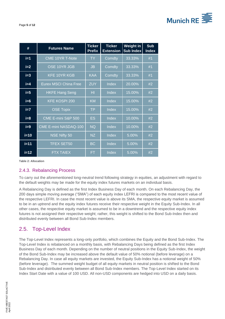

| #      | <b>Futures Name</b>          | <b>Ticker</b><br><b>Prefix</b> | <b>Ticker</b><br><b>Extension</b> | <b>Weight in</b><br><b>Sub Index</b> | <b>Sub</b><br><b>Index</b> |
|--------|------------------------------|--------------------------------|-----------------------------------|--------------------------------------|----------------------------|
| $i=1$  | <b>CME 10YR T-Note</b>       | <b>TY</b>                      | Comdty                            | 33.33%                               | #1                         |
| $i=2$  | OSE 10YR JGB                 | <b>JB</b>                      | Comdty                            | 33.33%                               | #1                         |
| $i=3$  | <b>KFE 10YR KGB</b>          | <b>KAA</b>                     | Comdty                            | 33.33%                               | #1                         |
| $i=4$  | <b>Eurex MSCI China Free</b> | <b>ZUY</b>                     | <b>Index</b>                      | 20.00%                               | #2                         |
| $i=5$  | <b>HKFE Hang Seng</b>        | H <sub>1</sub>                 | <b>Index</b>                      | 15.00%                               | #2                         |
| $i=6$  | <b>KFE KOSPI 200</b>         | KM                             | Index                             | 15.00%                               | #2                         |
| $i=7$  | <b>OSE Topix</b>             | <b>TP</b>                      | Index                             | 15.00%                               | #2                         |
| $i=8$  | CME E-mini S&P 500           | <b>ES</b>                      | Index                             | 10.00%                               | #2                         |
| $i=9$  | <b>CME E-mini NASDAQ-100</b> | <b>NQ</b>                      | Index                             | 10.00%                               | #2                         |
| $i=10$ | <b>NSE Nifty 50</b>          | <b>NZ</b>                      | <b>Index</b>                      | 5.00%                                | #2                         |
| $i=11$ | <b>TFEX SET50</b>            | <b>BC</b>                      | <b>Index</b>                      | 5.00%                                | #2                         |
| $i=12$ | <b>FTX TAIEX</b>             | FТ                             | Index                             | 5.00%                                | #2                         |

<span id="page-5-2"></span>**Table 2: Allocation**

#### <span id="page-5-0"></span>2.4.3. Rebalancing Process

To carry out the aforementioned long-neutral trend following strategy in equities, an adjustment with regard to the default weights may be made for the equity index futures markets on an individual basis.

A Rebalancing Day is defined as the first Index Business Day of each month. On each Rebalancing Day, the 200 days simple moving average ("SMA") of each equity index LEFRI is compared to the most recent value of the respective LEFRI. In case the most recent value is above its SMA, the respective equity market is assumed to be in an uptrend and the equity index futures receive their respective weight in the Equity Sub-Index. In all other cases, the respective equity market is assumed to be in a downtrend and the respective equity index futures is not assigned their respective weight; rather, this weight is shifted to the Bond Sub-Index then and distributed evenly between all Bond Sub-Index members.

#### <span id="page-5-1"></span>2.5. Top-Level Index

The Top-Level Index represents a long-only portfolio, which combines the Equity and the Bond Sub-Index. The Top-Level Index is rebalanced on a monthly basis, with Rebalancing Days being defined as the first Index Business Day of each month. Depending on the number of neutral positions in the Equity Sub-Index, the weight of the Bond Sub-Index may be increased above the default value of 50% notional (before leverage) on a Rebalancing Day. In case all equity markets are invested, the Equity Sub-Index has a notional weight of 50% (before leverage). The summed weight budget of all equity markets in neutral position is shifted to the Bond Sub-Index and distributed evenly between all Bond Sub-Index members. The Top-Level Index started on its Index Start Date with a value of 100 USD. All non-USD components are hedged into USD on a daily basis.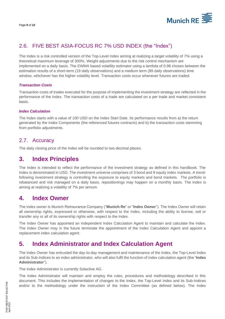

# <span id="page-6-0"></span>2.6. FIVE BEST ASIA-FOCUS RC 7% USD INDEX (the "Index")

The Index is a risk controlled version of the Top-Level Index aiming at realizing a target volatility of 7% using a theoretical maximum leverage of 300%. Weight adjustments due to the risk control mechanism are implemented on a daily basis. The EWMA based volatility estimator using a lambda of 0.98 choses between the estimation results of a short-term (19 daily observations) and a medium term (89 daily observations) time window, whichever has the higher volatility level. Transaction costs occur whenever futures are traded.

#### *Transaction Costs*

Transaction costs of trades executed for the purpose of implementing the investment strategy are reflected in the performance of the Index. The transaction costs of a trade are calculated on a per trade and market consistent basis.

#### *Index Calculation*

The Index starts with a value of 100 USD on the Index Start Date. Its performance results from a) the return generated by the Index Components (the referenced futures contracts) and b) the transaction costs stemming from portfolio adjustments.

## <span id="page-6-1"></span>2.7. Accuracy

The daily closing price of the Index will be rounded to two decimal places.

# <span id="page-6-2"></span>**3. Index Principles**

The Index is intended to reflect the performance of the investment strategy as defined in this handbook. The Index is denominated in USD. The investment universe comprises of 3 bond and 9 equity index markets. A trendfollowing investment strategy is controlling the exposure to equity markets and bond markets. The portfolio is rebalanced and risk managed on a daily basis, repositionings may happen on a monthly basis. The Index is aiming at realizing a volatility of 7% per annum.

# <span id="page-6-3"></span>**4. Index Owner**

The index owner is Munich Reinsurance Company ("**Munich Re**" or "**Index Owner**"). The Index Owner will retain all ownership rights, expressed or otherwise, with respect to the Index, including the ability to license, sell or transfer any or all of its ownership rights with respect to the Index.

The Index Owner has appointed an independent Index Calculation Agent to maintain and calculate the Index. The Index Owner may in the future terminate the appointment of the Index Calculation Agent and appoint a replacement index calculation agent.

# <span id="page-6-4"></span>**5. Index Administrator and Index Calculation Agent**

The Index Owner has entrusted the day-to-day management and maintenance of the Index, the Top-Level Index and its Sub-Indices to an index administrator, who will also fulfil the function of index calculation agent (the "**Index Administrator**").

The Index Administrator is currently Solactive AG.

The Index Administrator will maintain and employ the rules, procedures and methodology described in this document. This includes the implementation of changes to the Index, the Top-Level Index and its Sub-Indices and/or to the methodology under the instruction of the Index Committee (as defined below). The Index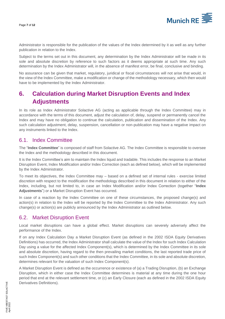

Administrator is responsible for the publication of the values of the Index determined by it as well as any further publication in relation to the Index.

Subject to the terms set out in this document, any determination by the Index Administrator will be made in its sole and absolute discretion by reference to such factors as it deems appropriate at such time. Any such determination by the Index Administrator will, in the absence of manifest error, be final, conclusive and binding.

No assurance can be given that market, regulatory, juridical or fiscal circumstances will not arise that would, in the view of the Index Committee, make a modification or change of the methodology necessary, which then would have to be implemented by the Index Administrator.

# <span id="page-7-0"></span>**6. Calculation during Market Disruption Events and Index Adjustments**

In its role as Index Administrator Solactive AG (acting as applicable through the Index Committee) may in accordance with the terms of this document, adjust the calculation of, delay, suspend or permanently cancel the Index and may have no obligation to continue the calculation, publication and dissemination of the Index. Any such calculation adjustment, delay, suspension, cancellation or non-publication may have a negative impact on any instruments linked to the Index.

## <span id="page-7-1"></span>6.1. Index Committee

The "**Index Committee**" is composed of staff from Solactive AG. The Index Committee is responsible to oversee the Index and the methodology described in this document.

It is the Index Committee's aim to maintain the Index liquid and tradable. This includes the response to an Market Disruption Event, Index Modification and/or Index Correction (each as defined below), which will be implemented by the Index Administrator.

To meet its objectives, the Index Committee may – based on a defined set of internal rules - exercise limited discretion with respect to the modification the methodology described in this document in relation to either of the Index, including, but not limited to, in case an Index Modification and/or Index Correction (together "**Index Adjustments**") or a Market Disruption Event has occurred.

In case of a reaction by the Index Committee on one of these circumstances, the proposed change(s) and action(s) in relation to the Index will be reported by the Index Committee to the Index Administrator. Any such change(s) or action(s) are publicly announced by the Index Administrator as outlined below.

## <span id="page-7-2"></span>6.2. Market Disruption Event

Local market disruptions can have a global effect. Market disruptions can severely adversely affect the performance of the Index.

If on any Index Calculation Day a Market Disruption Event (as defined in the 2002 ISDA Equity Derivatives Definitions) has occurred, the Index Administrator shall calculate the value of the Index for such Index Calculation Day using a value for the affected Index Component(s), which is determined by the Index Committee in its sole and absolute discretion, having regard to the then prevailing market conditions, the last reported trade price of such Index Component(s) and such other conditions that the Index Committee, in its sole and absolute discretion, determines relevant for the valuation of such Index Component(s).

A Market Disruption Event is defined as the occurrence or existence of (a) a Trading Disruption, (b) an Exchange Disruption, which in either case the Index Committee determines is material at any time during the one hour period that end at the relevant settlement time, or (c) an Early Closure (each as defined in the 2002 ISDA Equity Derivatives Definitions).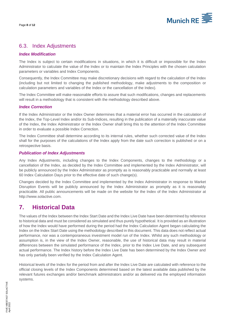

## <span id="page-8-0"></span>6.3. Index Adjustments

#### *Index Modification*

The Index is subject to certain modifications in situations, in which it is difficult or impossible for the Index Administrator to calculate the value of the Index or to maintain the Index Principles with the chosen calculation parameters or variables and Index Components.

Consequently, the Index Committee may make discretionary decisions with regard to the calculation of the Index (including but not limited to changing the published methodology, make adjustments to the composition or calculation parameters and variables of the Index or the cancellation of the Index).

The Index Committee will make reasonable efforts to assure that such modifications, changes and replacements will result in a methodology that is consistent with the methodology described above.

#### *Index Correction*

If the Index Administrator or the Index Owner determines that a material error has occurred in the calculation of the Index, the Top-Level Index and/or its Sub-Indices, resulting in the publication of a materially inaccurate value of the Index, the Index Administrator or the Index Owner shall bring this to the attention of the Index Committee in order to evaluate a possible Index Correction.

The Index Committee shall determine according to its internal rules, whether such corrected value of the Index shall for the purposes of the calculations of the Index apply from the date such correction is published or on a retrospective basis.

#### *Publication of Index Adjustments*

Any Index Adjustments, including changes to the Index Components, changes to the methodology or a cancellation of the Index, as decided by the Index Committee and implemented by the Index Administrator, will be publicly announced by the Index Administrator as promptly as is reasonably practicable and normally at least 60 Index Calculation Days prior to the effective date of such change(s).

Changes decided by the Index Committee and implemented by the Index Administrator in response to Market Disruption Events will be publicly announced by the Index Administrator as promptly as it is reasonably practicable. All public announcements will be made on the website for the Index of the Index Administrator at http://www.solactive.com.

# <span id="page-8-1"></span>**7. Historical Data**

The values of the Index between the Index Start Date and the Index Live Date have been determined by reference to historical data and must be considered as simulated and thus purely hypothetical. It is provided as an illustration of how the Index would have performed during the period had the Index Calculation Agent began calculating the Index on the Index Start Date using the methodology described in this document. This data does not reflect actual performance, nor was a contemporaneous investment model run of the Index. Whilst any such methodology or assumption is, in the view of the Index Owner, reasonable, the use of historical data may result in material differences between the simulated performance of the Index, prior to the Index Live Date, and any subsequent actual performance. The Index history before the Index Live Date has been determined by the Index Owner and has only partially been verified by the Index Calculation Agent.

Historical levels of the Index for the period from and after the Index Live Date are calculated with reference to the official closing levels of the Index Components determined based on the latest available data published by the relevant futures exchanges and/or benchmark administrators and/or as delivered via the employed information systems.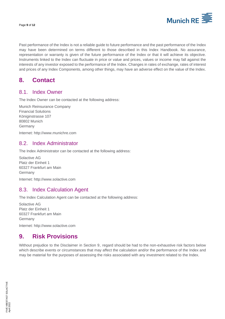

Past performance of the Index is not a reliable guide to future performance and the past performance of the Index may have been determined on terms different to those described in this Index Handbook. No assurance, representation or warranty is given of the future performance of the Index or that it will achieve its objective. Instruments linked to the Index can fluctuate in price or value and prices, values or income may fall against the interests of any investor exposed to the performance of the Index. Changes in rates of exchange, rates of interest and prices of any Index Components, among other things, may have an adverse effect on the value of the Index.

# <span id="page-9-0"></span>**8. Contact**

#### <span id="page-9-1"></span>8.1. Index Owner

The Index Owner can be contacted at the following address:

Munich Reinsurance Company Financial Solutions Königinstrasse 107 80802 Munich Germany

<span id="page-9-2"></span>Internet: [http://www.munichre.com](http://www.munichre.com/)

#### 8.2. Index Administrator

The Index Administrator can be contacted at the following address:

Solactive AG Platz der Einheit 1 60327 Frankfurt am Main Germany

Internet: [http://www.solactive.com](http://www.solactive.com/)

## <span id="page-9-3"></span>8.3. Index Calculation Agent

The Index Calculation Agent can be contacted at the following address:

Solactive AG Platz der Einheit 1 60327 Frankfurt am Main Germany

Internet: [http://www.solactive.com](http://www.solactive.com/)

# <span id="page-9-4"></span>**9. Risk Provisions**

Without prejudice to the Disclaimer in Section 9, regard should be had to the non-exhaustive risk factors below which describe events or circumstances that may affect the calculation and/or the performance of the Index and may be material for the purposes of assessing the risks associated with any investment related to the Index.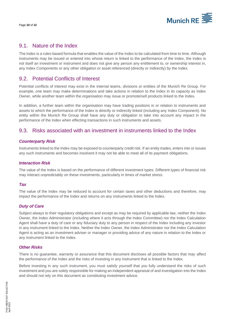

#### <span id="page-10-0"></span>9.1. Nature of the Index

The Index is a rules-based formula that enables the value of the Index to be calculated from time to time. Although instruments may be issued or entered into whose return is linked to the performance of the Index, the Index is not itself an investment or instrument and does not give any person any entitlement to, or ownership interest in, any Index Components or any other obligation or asset referenced (directly or indirectly) by the Index.

## <span id="page-10-1"></span>9.2. Potential Conflicts of Interest

Potential conflicts of interest may exist in the internal teams, divisions or entities of the Munich Re Group. For example, one team may make determinations and take actions in relation to the Index in its capacity as Index Owner, while another team within the organisation may issue or promote/sell products linked to the Index.

In addition, a further team within the organisation may have trading positions in or relation to instruments and assets to which the performance of the Index is directly or indirectly linked (including any Index Component). No entity within the Munich Re Group shall have any duty or obligation to take into account any impact in the performance of the Index when effecting transactions in such instruments and assets.

## <span id="page-10-2"></span>9.3. Risks associated with an investment in instruments linked to the Index

#### *Counterparty Risk*

Instruments linked to the Index may be exposed to counterparty credit risk. If an entity trades, enters into or issues any such instruments and becomes insolvent it may not be able to meet all of its payment obligations.

#### *Interaction Risk*

The value of the Index is based on the performance of different investment types. Different types of financial risk may interact unpredictably on these investments, particularly in times of market stress.

#### *Tax*

The value of the Index may be reduced to account for certain taxes and other deductions and therefore, may impact the performance of the Index and returns on any instruments linked to the Index.

#### *Duty of Care*

Subject always to their regulatory obligations and except as may be required by applicable law, neither the Index Owner, the Index Administrator (including where it acts through the Index Committee) nor the Index Calculation Agent shall have a duty of care or any fiduciary duty to any person in respect of the Index including any investor in any instrument linked to the Index. Neither the Index Owner, the Index Administrator nor the Index Calculation Agent is acting as an investment adviser or manager or providing advice of any nature in relation to the Index or any instrument linked to the Index.

#### *Other Risks*

There is no guarantee, warranty or assurance that this document discloses all possible factors that may affect the performance of the Index and the risks of investing in any instrument that is linked to the Index.

Before investing in any such instrument, you must satisfy yourself that you fully understand the risks of such investment and you are solely responsible for making an independent appraisal of and investigation into the Index and should not rely on this document as constituting investment advice.